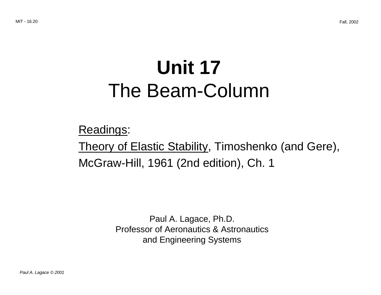# **Unit 17**  The Beam-Column

Readings: Theory of Elastic Stability, Timoshenko (and Gere), McGraw-Hill, 1961 (2nd edition), Ch. 1

> Paul A. Lagace, Ph.D. Professor of Aeronautics & Astronautics and Engineering Systems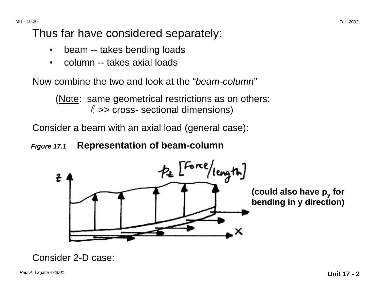MIT - 16.20

### Thus far have considered separately:

- beam -- takes bending loads
- column -- takes axial loads

Now combine the two and look at the "*beam-column*"

(Note: same geometrical restrictions as on others:  $\ell$  >> cross- sectional dimensions)

Consider a beam with an axial load (general case):

#### **Figure 17.1 Representation of beam-column**



#### Consider 2-D case: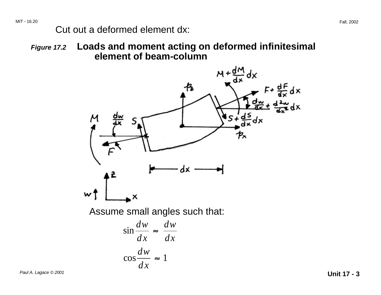#### Cut out a deformed element dx:

**Figure 17.2 Loads and moment acting on deformed infinitesimal element of beam-column** 



Paul A. Lagace © 2001 **Unit 17 - 3**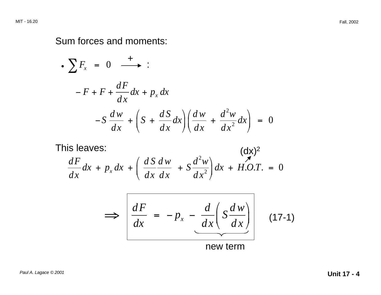#### Sum forces and moments:

$$
\begin{aligned}\n\bullet \sum F_x &= 0 \quad \xrightarrow{+} : \\
\hline\n-F + F + \frac{dF}{dx} dx + p_x dx \\
\hline\n-S \frac{dw}{dx} + \left(S + \frac{dS}{dx} dx\right) \left(\frac{dw}{dx} + \frac{d^2w}{dx^2} dx\right) &= 0\n\end{aligned}
$$

This leaves: 
$$
\frac{dF}{dx}dx + p_x dx + \left(\frac{dS}{dx}\frac{dw}{dx} + S\frac{d^2w}{dx^2}\right)dx + H.O.T. = 0
$$

$$
\Rightarrow \left[ \frac{dF}{dx} = -p_x - \frac{d}{dx} \left( S \frac{dw}{dx} \right) \right]
$$
 (17-1)  
new term (17-1)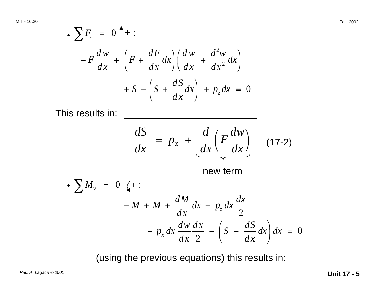$$
\begin{aligned} \bullet \sum F_z &= 0 \uparrow + : \\ -F \frac{dw}{dx} + \left( F + \frac{dF}{dx} dx \right) \left( \frac{dw}{dx} + \frac{d^2 w}{dx^2} dx \right) \\ &+ S - \left( S + \frac{dS}{dx} dx \right) + p_z dx = 0 \end{aligned}
$$

This results in: <u>\_\_\_\_\_\_\_\_\_\_\_\_\_\_\_\_\_\_\_\_\_\_\_\_\_\_\_</u>

$$
\frac{dS}{dx} = p_z + \frac{d}{dx} \left( F \frac{dw}{dx} \right)
$$
 (17-2)

new term

$$
\begin{aligned}\n\bullet \sum M_y &= 0 \quad \text{(+ :} \\
-M + M + \frac{dM}{dx} dx + p_z dx \frac{dx}{2} \\
&- p_x dx \frac{dw}{dx} \frac{dx}{2} - \left(S + \frac{dS}{dx} dx\right) dx = 0\n\end{aligned}
$$

(using the previous equations) this results in:

Paul A. Lagace © 2001 **Unit 17 - 5**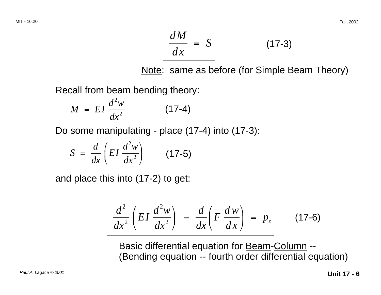$$
\frac{dM}{dx} = S
$$
 (17-3)

Note: same as before (for Simple Beam Theory)

Recall from beam bending theory:

$$
M = EI \frac{d^2 w}{dx^2} \tag{17-4}
$$

Do some manipulating - place (17-4) into (17-3):

$$
S = \frac{d}{dx} \left( EI \frac{d^2 w}{dx^2} \right) \qquad (17-5)
$$

and place this into (17-2) to get:

$$
\frac{d^2}{dx^2}\left(EI\,\frac{d^2w}{dx^2}\right) - \frac{d}{dx}\left(F\,\frac{dw}{dx}\right) = p_z
$$
 (17-6)

Basic differential equation for Beam-Column -- (Bending equation -- fourth order differential equation)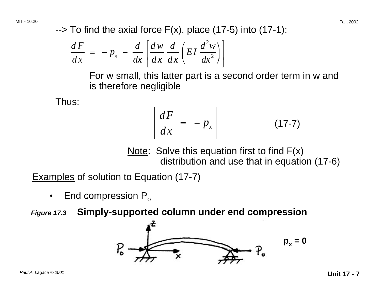$\rightarrow$  To find the axial force F(x), place (17-5) into (17-1):

$$
\frac{dF}{dx} = -p_x - \frac{d}{dx} \left[ \frac{dw}{dx} \frac{d}{dx} \left( EI \frac{d^2 w}{dx^2} \right) \right]
$$

For w small, this latter part is a second order term in w and is therefore negligible

Thus:

$$
\frac{dF}{dx} = -p_x \tag{17-7}
$$

Note: Solve this equation first to find  $F(x)$ distribution and use that in equation (17-6)

Examples of solution to Equation (17-7)

• End compression  $P_0$ 

**Figure 17.3 Simply-supported column under end compression** 

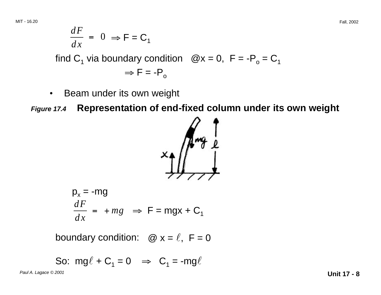$$
\frac{dF}{dx} = 0 \Rightarrow F = C_1
$$
  
find C<sub>1</sub> via boundary condition @x = 0, F = -P<sub>0</sub> = C<sub>1</sub>  

$$
\Rightarrow F = -P_0
$$

• Beam under its own weight

**Figure 17.4 Representation of end-fixed column under its own weight** 



$$
p_x = -mg
$$
  

$$
\frac{dF}{dx} = +mg \implies F = mgx + C_1
$$

boundary condition:  $\omega x = \ell$ ,  $F = 0$ 

So: 
$$
mg\ell + C_1 = 0 \implies C_1 = -mg\ell
$$

Paul A. Lagace © 2001 **Unit 17 - 8**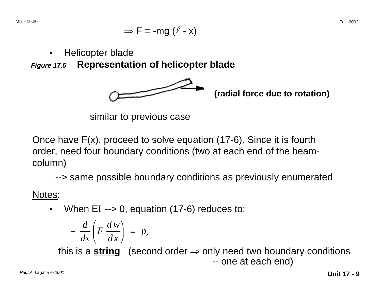$$
\Rightarrow F = -mg(\ell - x)
$$

• Helicopter blade

**Figure 17.5 Representation of helicopter blade** 



**(radial force due to rotation)** 

similar to previous case

Once have F(x), proceed to solve equation (17-6). Since it is fourth order, need four boundary conditions (two at each end of the beamcolumn)

--> same possible boundary conditions as previously enumerated

Notes:

• When EI --> 0, equation (17-6) reduces to:

$$
-\frac{d}{dx}\bigg(F\,\frac{d\,w}{dx}\bigg)\,=\,p_z
$$

this is a **string** (second order  $\Rightarrow$  only need two boundary conditions -- one at each end)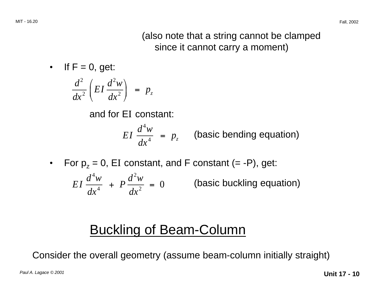#### (also note that a string cannot be clamped since it cannot carry a moment)

• If  $F = 0$ , get:

$$
\frac{d^2}{dx^2}\left(EI\frac{d^2w}{dx^2}\right) = p_z
$$

and for EI constant:

$$
EI \frac{d^4 w}{dx^4} = p_z
$$
 (basic bending equation)

• For  $p_z = 0$ , EI constant, and F constant (= -P), get:

$$
EI\frac{d^4w}{dx^4} + P\frac{d^2w}{dx^2} = 0
$$
 (basic buckling equation)

## Buckling of Beam-Column

Consider the overall geometry (assume beam-column initially straight)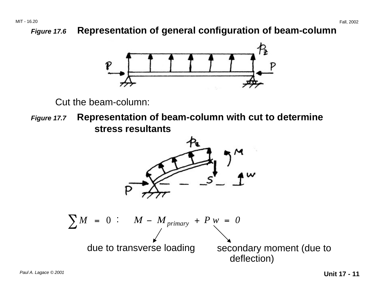#### **Figure 17.6 Representation of general configuration of beam-column**



Cut the beam-column:

**Figure 17.7 Representation of beam-column with cut to determine stress resultants** 

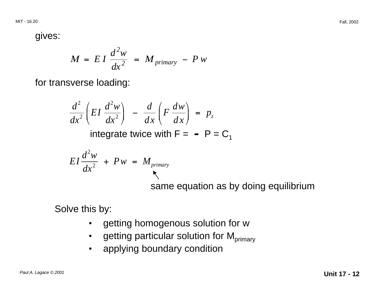gives:

$$
M = EI \frac{d^2 w}{dx^2} = M_{primary} - P w
$$

for transverse loading:

$$
\frac{d^2}{dx^2}\bigg(EI\,\frac{d^2w}{dx^2}\bigg) - \frac{d}{dx}\bigg(F\,\frac{dw}{dx}\bigg) = p_z
$$

integrate twice with  $F = -P = C_1$ 

$$
EI\frac{d^2w}{dx^2} + Pw = M_{primary}
$$
  
same equation as by doing equilibrium

Solve this by:

- getting homogenous solution for w
- getting particular solution for  $M_{primary}$
- applying boundary condition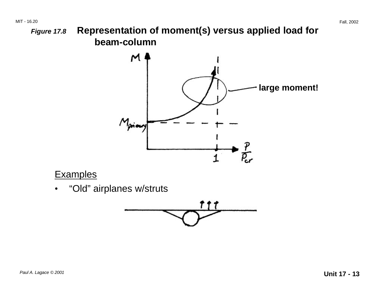**Figure 17.8 Representation of moment(s) versus applied load for beam-column** 



#### **Examples**

"Old" airplanes w/struts